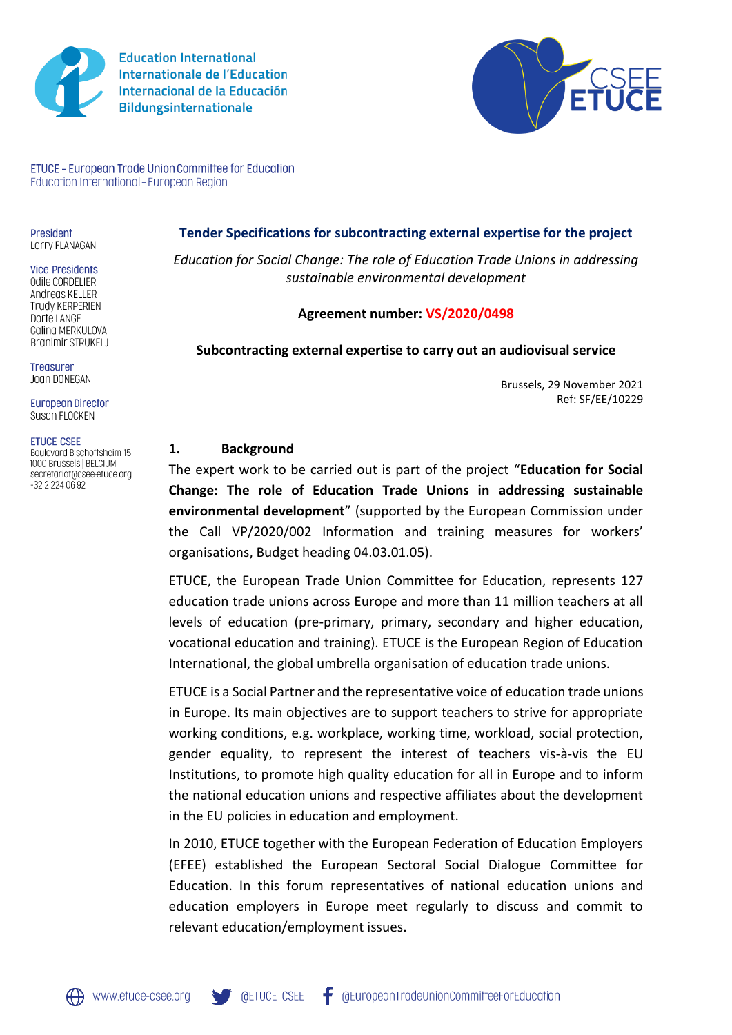

**Education International Internationale de l'Education** Internacional de la Educación **Bildungsinternationale** 



ETUCE - European Trade Union Committee for Education Education International - European Region

President Larry FLANAGAN

#### **Vice-Presidents**

Odile CORDELIER Andreas KELLER Trudy KERPERIEN Dorte LANGE Galina MERKULOVA **Branimir STRUKELJ** 

Trensurer Joan DONEGAN

**European Director** Susan FLOCKEN

#### **ETUCE-CSEE**

Boulevard Bischoffsheim 15 1000 Brussels | BELGIUM secretariat@csee-etuce.org +32 2 224 06 92

#### **Tender Specifications for subcontracting external expertise for the project**

*Education for Social Change: The role of Education Trade Unions in addressing sustainable environmental development*

#### **Agreement number: VS/2020/0498**

#### **Subcontracting external expertise to carry out an audiovisual service**

Brussels, 29 November 2021 Ref: SF/EE/10229

#### **1. Background**

The expert work to be carried out is part of the project "**Education for Social Change: The role of Education Trade Unions in addressing sustainable environmental development**" (supported by the European Commission under the Call VP/2020/002 Information and training measures for workers' organisations, Budget heading 04.03.01.05).

ETUCE, the European Trade Union Committee for Education, represents 127 education trade unions across Europe and more than 11 million teachers at all levels of education (pre-primary, primary, secondary and higher education, vocational education and training). ETUCE is the European Region of Education International, the global umbrella organisation of education trade unions.

ETUCE is a Social Partner and the representative voice of education trade unions in Europe. Its main objectives are to support teachers to strive for appropriate working conditions, e.g. workplace, working time, workload, social protection, gender equality, to represent the interest of teachers vis-à-vis the EU Institutions, to promote high quality education for all in Europe and to inform the national education unions and respective affiliates about the development in the EU policies in education and employment.

In 2010, ETUCE together with the European Federation of Education Employers (EFEE) established the European Sectoral Social Dialogue Committee for Education. In this forum representatives of national education unions and education employers in Europe meet regularly to discuss and commit to relevant education/employment issues.

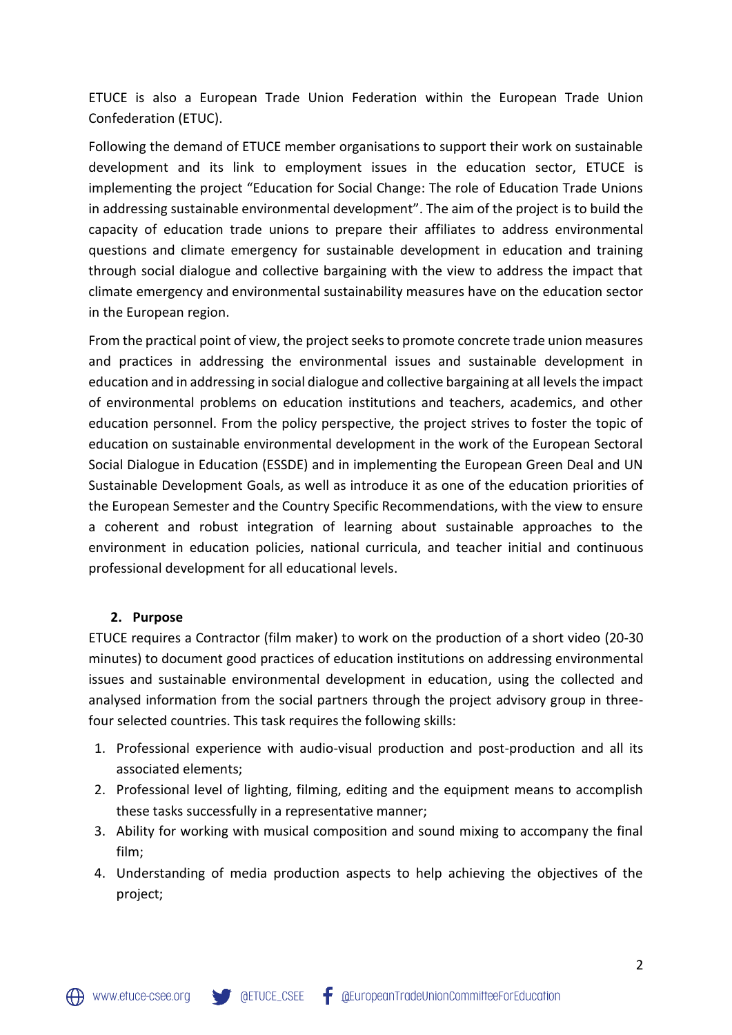ETUCE is also a European Trade Union Federation within the European Trade Union Confederation (ETUC).

Following the demand of ETUCE member organisations to support their work on sustainable development and its link to employment issues in the education sector, ETUCE is implementing the project "Education for Social Change: The role of Education Trade Unions in addressing sustainable environmental development". The aim of the project is to build the capacity of education trade unions to prepare their affiliates to address environmental questions and climate emergency for sustainable development in education and training through social dialogue and collective bargaining with the view to address the impact that climate emergency and environmental sustainability measures have on the education sector in the European region.

From the practical point of view, the project seeks to promote concrete trade union measures and practices in addressing the environmental issues and sustainable development in education and in addressing in social dialogue and collective bargaining at all levels the impact of environmental problems on education institutions and teachers, academics, and other education personnel. From the policy perspective, the project strives to foster the topic of education on sustainable environmental development in the work of the European Sectoral Social Dialogue in Education (ESSDE) and in implementing the European Green Deal and UN Sustainable Development Goals, as well as introduce it as one of the education priorities of the European Semester and the Country Specific Recommendations, with the view to ensure a coherent and robust integration of learning about sustainable approaches to the environment in education policies, national curricula, and teacher initial and continuous professional development for all educational levels.

#### **2. Purpose**

ETUCE requires a Contractor (film maker) to work on the production of a short video (20-30 minutes) to document good practices of education institutions on addressing environmental issues and sustainable environmental development in education, using the collected and analysed information from the social partners through the project advisory group in threefour selected countries. This task requires the following skills:

- 1. Professional experience with audio-visual production and post-production and all its associated elements;
- 2. Professional level of lighting, filming, editing and the equipment means to accomplish these tasks successfully in a representative manner;
- 3. Ability for working with musical composition and sound mixing to accompany the final film;
- 4. Understanding of media production aspects to help achieving the objectives of the project;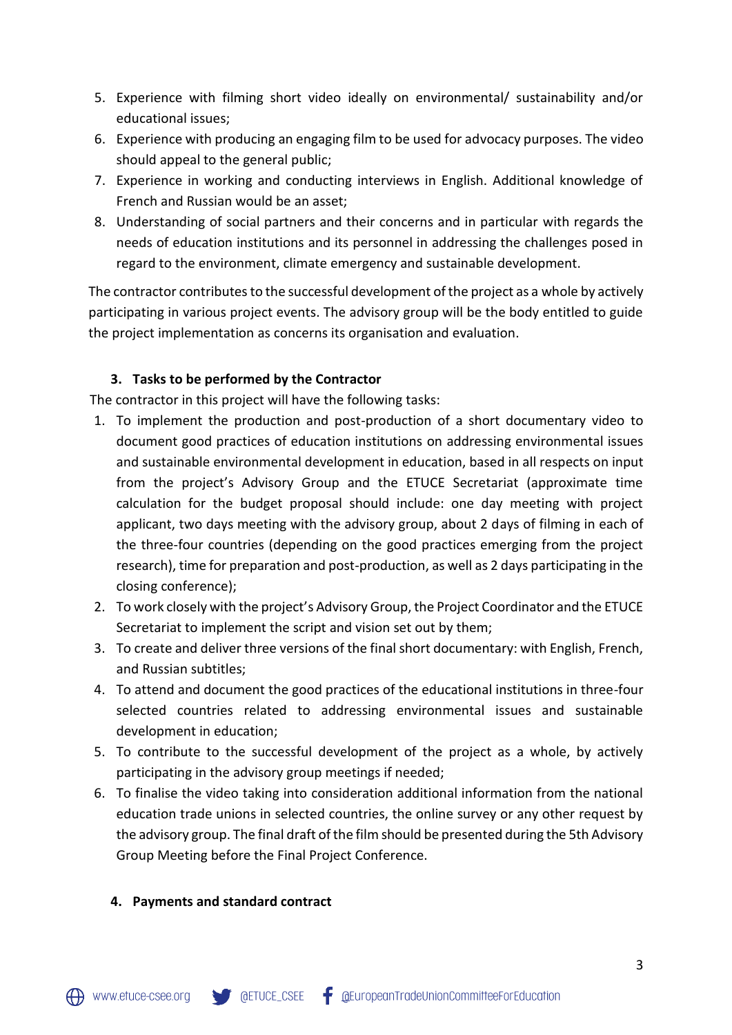- 5. Experience with filming short video ideally on environmental/ sustainability and/or educational issues;
- 6. Experience with producing an engaging film to be used for advocacy purposes. The video should appeal to the general public;
- 7. Experience in working and conducting interviews in English. Additional knowledge of French and Russian would be an asset;
- 8. Understanding of social partners and their concerns and in particular with regards the needs of education institutions and its personnel in addressing the challenges posed in regard to the environment, climate emergency and sustainable development.

The contractor contributes to the successful development of the project as a whole by actively participating in various project events. The advisory group will be the body entitled to guide the project implementation as concerns its organisation and evaluation.

### **3. Tasks to be performed by the Contractor**

The contractor in this project will have the following tasks:

- 1. To implement the production and post-production of a short documentary video to document good practices of education institutions on addressing environmental issues and sustainable environmental development in education, based in all respects on input from the project's Advisory Group and the ETUCE Secretariat (approximate time calculation for the budget proposal should include: one day meeting with project applicant, two days meeting with the advisory group, about 2 days of filming in each of the three-four countries (depending on the good practices emerging from the project research), time for preparation and post-production, as well as 2 days participating in the closing conference);
- 2. To work closely with the project's Advisory Group, the Project Coordinator and the ETUCE Secretariat to implement the script and vision set out by them;
- 3. To create and deliver three versions of the final short documentary: with English, French, and Russian subtitles;
- 4. To attend and document the good practices of the educational institutions in three-four selected countries related to addressing environmental issues and sustainable development in education;
- 5. To contribute to the successful development of the project as a whole, by actively participating in the advisory group meetings if needed;
- 6. To finalise the video taking into consideration additional information from the national education trade unions in selected countries, the online survey or any other request by the advisory group. The final draft of the film should be presented during the 5th Advisory Group Meeting before the Final Project Conference.

### **4. Payments and standard contract**

**OETUCE\_CSEE**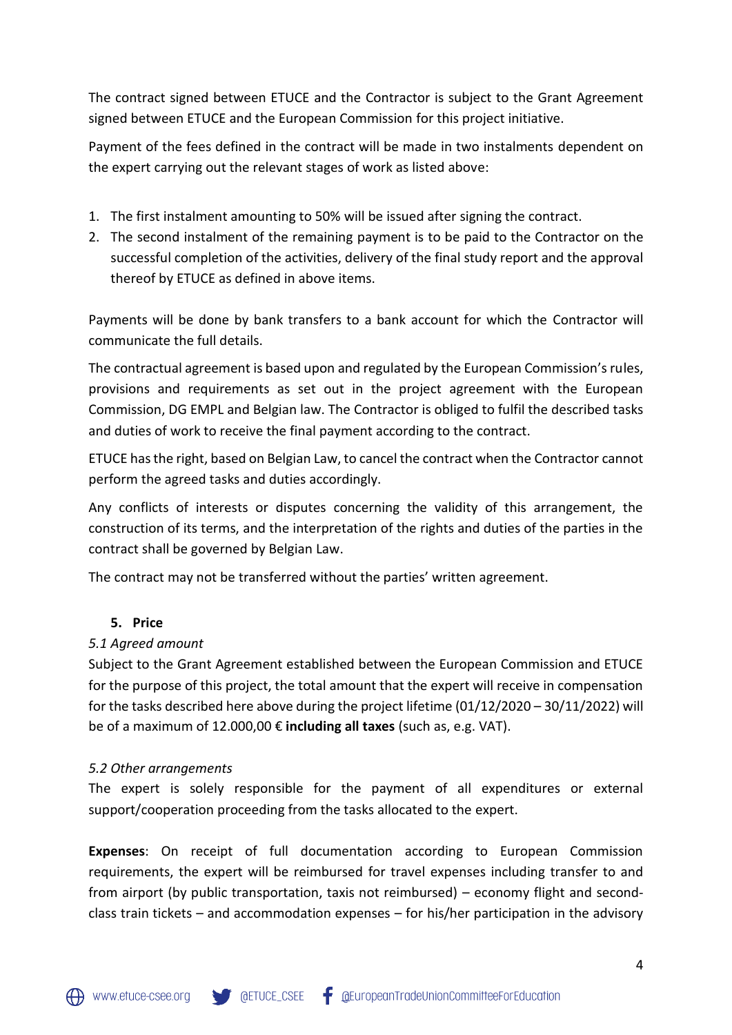The contract signed between ETUCE and the Contractor is subject to the Grant Agreement signed between ETUCE and the European Commission for this project initiative.

Payment of the fees defined in the contract will be made in two instalments dependent on the expert carrying out the relevant stages of work as listed above:

- 1. The first instalment amounting to 50% will be issued after signing the contract.
- 2. The second instalment of the remaining payment is to be paid to the Contractor on the successful completion of the activities, delivery of the final study report and the approval thereof by ETUCE as defined in above items.

Payments will be done by bank transfers to a bank account for which the Contractor will communicate the full details.

The contractual agreement is based upon and regulated by the European Commission's rules, provisions and requirements as set out in the project agreement with the European Commission, DG EMPL and Belgian law. The Contractor is obliged to fulfil the described tasks and duties of work to receive the final payment according to the contract.

ETUCE has the right, based on Belgian Law, to cancel the contract when the Contractor cannot perform the agreed tasks and duties accordingly.

Any conflicts of interests or disputes concerning the validity of this arrangement, the construction of its terms, and the interpretation of the rights and duties of the parties in the contract shall be governed by Belgian Law.

The contract may not be transferred without the parties' written agreement.

### **5. Price**

### *5.1 Agreed amount*

Subject to the Grant Agreement established between the European Commission and ETUCE for the purpose of this project, the total amount that the expert will receive in compensation for the tasks described here above during the project lifetime (01/12/2020 – 30/11/2022) will be of a maximum of 12.000,00 € **including all taxes** (such as, e.g. VAT).

### *5.2 Other arrangements*

The expert is solely responsible for the payment of all expenditures or external support/cooperation proceeding from the tasks allocated to the expert.

**Expenses**: On receipt of full documentation according to European Commission requirements, the expert will be reimbursed for travel expenses including transfer to and from airport (by public transportation, taxis not reimbursed) – economy flight and secondclass train tickets – and accommodation expenses – for his/her participation in the advisory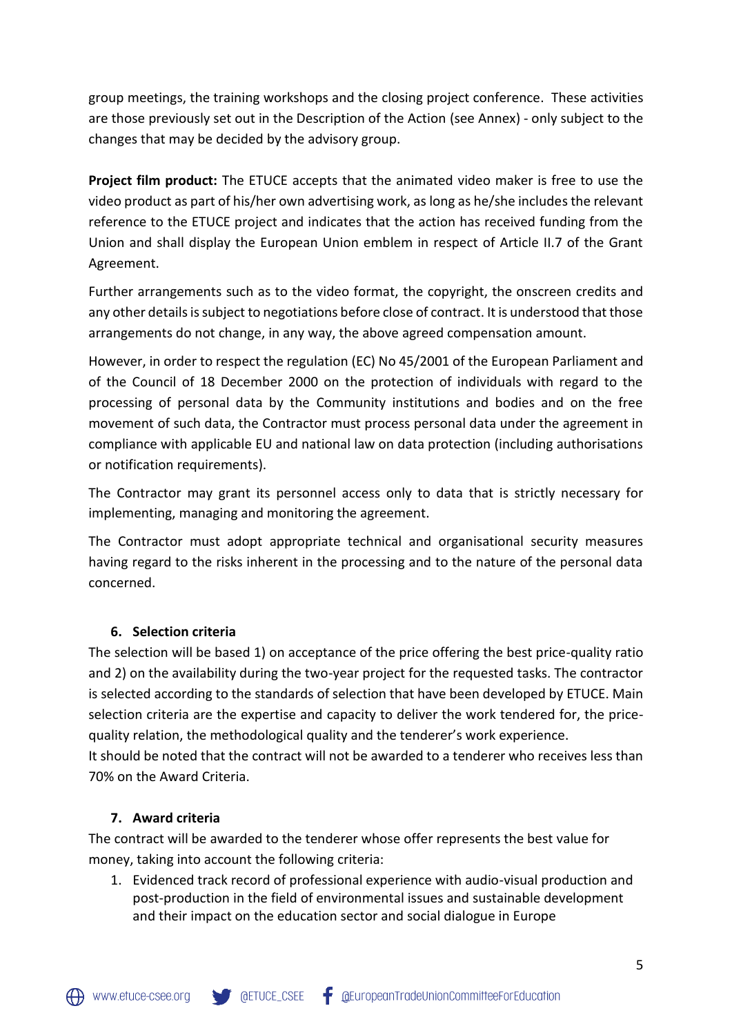group meetings, the training workshops and the closing project conference. These activities are those previously set out in the Description of the Action (see Annex) - only subject to the changes that may be decided by the advisory group.

**Project film product:** The ETUCE accepts that the animated video maker is free to use the video product as part of his/her own advertising work, as long as he/she includes the relevant reference to the ETUCE project and indicates that the action has received funding from the Union and shall display the European Union emblem in respect of Article II.7 of the Grant Agreement.

Further arrangements such as to the video format, the copyright, the onscreen credits and any other details is subject to negotiations before close of contract. It is understood that those arrangements do not change, in any way, the above agreed compensation amount.

However, in order to respect the regulation (EC) No 45/2001 of the European Parliament and of the Council of 18 December 2000 on the protection of individuals with regard to the processing of personal data by the Community institutions and bodies and on the free movement of such data, the Contractor must process personal data under the agreement in compliance with applicable EU and national law on data protection (including authorisations or notification requirements).

The Contractor may grant its personnel access only to data that is strictly necessary for implementing, managing and monitoring the agreement.

The Contractor must adopt appropriate technical and organisational security measures having regard to the risks inherent in the processing and to the nature of the personal data concerned.

## **6. Selection criteria**

The selection will be based 1) on acceptance of the price offering the best price-quality ratio and 2) on the availability during the two-year project for the requested tasks. The contractor is selected according to the standards of selection that have been developed by ETUCE. Main selection criteria are the expertise and capacity to deliver the work tendered for, the pricequality relation, the methodological quality and the tenderer's work experience.

It should be noted that the contract will not be awarded to a tenderer who receives less than 70% on the Award Criteria.

## **7. Award criteria**

The contract will be awarded to the tenderer whose offer represents the best value for money, taking into account the following criteria:

1. Evidenced track record of professional experience with audio-visual production and post-production in the field of environmental issues and sustainable development and their impact on the education sector and social dialogue in Europe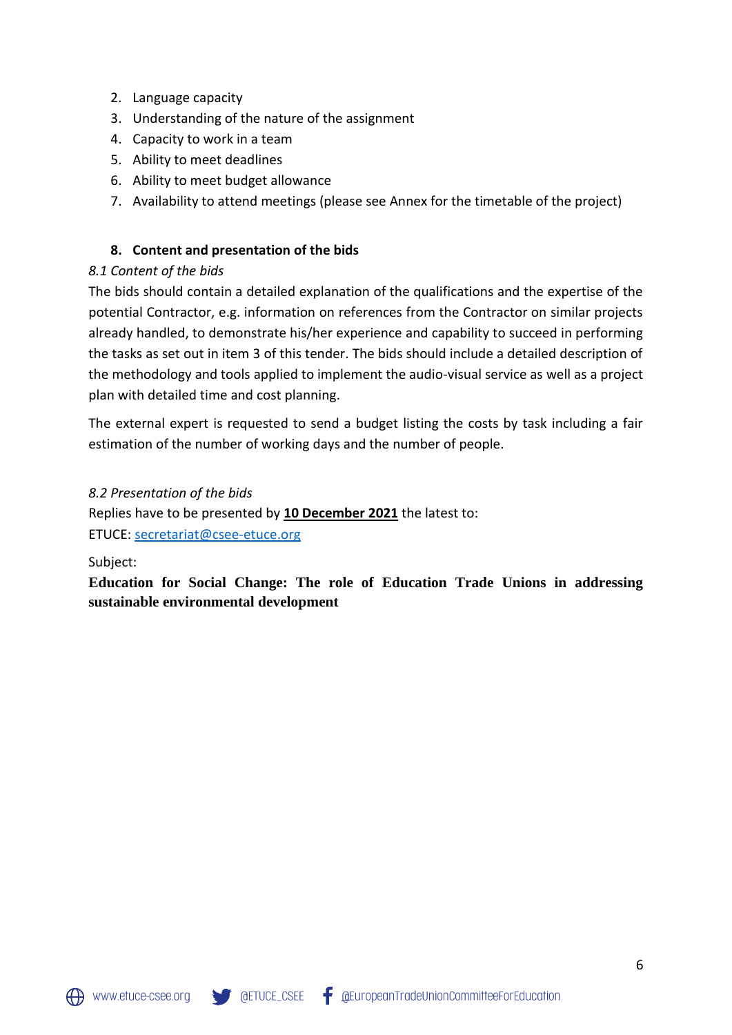- 2. Language capacity
- 3. Understanding of the nature of the assignment
- 4. Capacity to work in a team
- 5. Ability to meet deadlines
- 6. Ability to meet budget allowance
- 7. Availability to attend meetings (please see Annex for the timetable of the project)

### **8. Content and presentation of the bids**

### *8.1 Content of the bids*

The bids should contain a detailed explanation of the qualifications and the expertise of the potential Contractor, e.g. information on references from the Contractor on similar projects already handled, to demonstrate his/her experience and capability to succeed in performing the tasks as set out in item 3 of this tender. The bids should include a detailed description of the methodology and tools applied to implement the audio-visual service as well as a project plan with detailed time and cost planning.

The external expert is requested to send a budget listing the costs by task including a fair estimation of the number of working days and the number of people.

### *8.2 Presentation of the bids*

Replies have to be presented by **10 December 2021** the latest to:

ETUCE: [secretariat@csee-etuce.org](file:///C:/Users/susanfloc/AppData/Local/Microsoft/Windows/Temporary%20Internet%20Files/Content.Outlook/YEPP7LMG/secretariat@csee-etuce.org)

Subject:

**Education for Social Change: The role of Education Trade Unions in addressing sustainable environmental development**